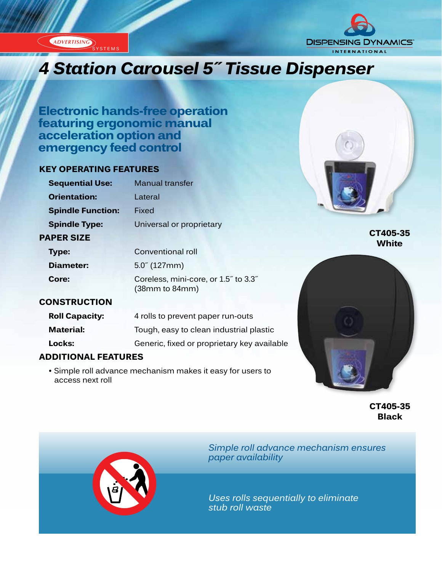**ADVERTISING** 



# *Innovation...Design...Solutions 4 Station Carousel 5˝ Tissue Dispenser*

**Electronic hands-free operation featuring ergonomic manual acceleration option and emergency feed control**

### **KEY OPERATING FEATURES**

| <b>Sequential Use:</b>   | <b>Manual transfer</b>   |
|--------------------------|--------------------------|
| <b>Orientation:</b>      | I ateral                 |
| <b>Spindle Function:</b> | Fixed                    |
| <b>Spindle Type:</b>     | Universal or proprietary |
| <b>PAPER SIZE</b>        |                          |
| Tvne:                    | Conventional roll        |



**CT405-35 White**

| Type:     | Conventional roll                                                               |
|-----------|---------------------------------------------------------------------------------|
| Diameter: | $5.0^{7}$ (127mm)                                                               |
| Core:     | Coreless, mini-core, or 1.5" to 3.3"<br>(38 <sub>mm</sub> to 84 <sub>mm</sub> ) |

#### **CONSTRUCTION**

| <b>Roll Capacity:</b> | 4 rolls to prevent paper run-outs           |
|-----------------------|---------------------------------------------|
| <b>Material:</b>      | Tough, easy to clean industrial plastic     |
| Locks:                | Generic, fixed or proprietary key available |

## **ADDITIONAL FEATURES**

 • Simple roll advance mechanism makes it easy for users to access next roll



**CT405-35 Black**



*Simple roll advance mechanism ensures paper availability*

*Uses rolls sequentially to eliminate stub roll waste*